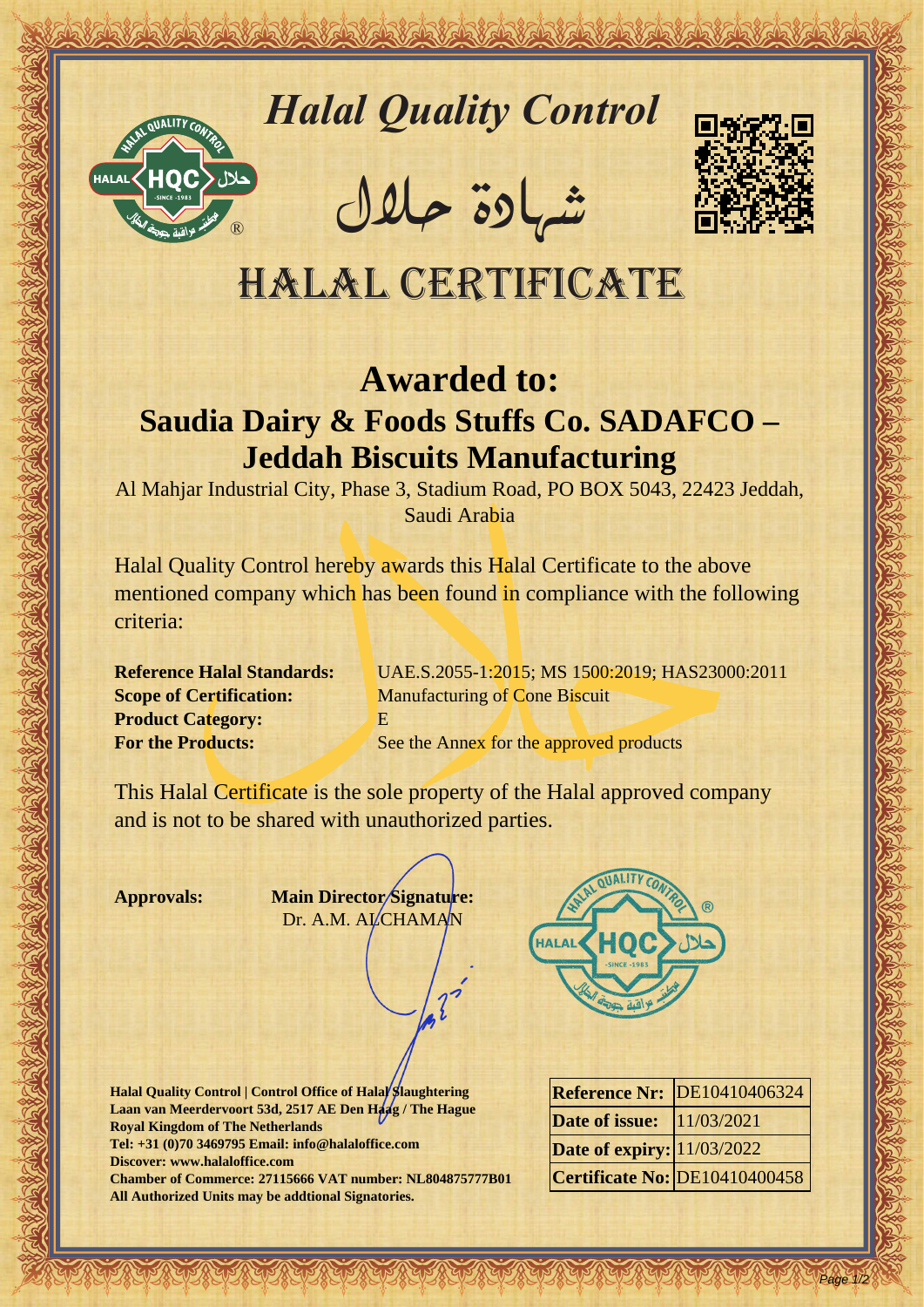

# *Halal Quality Control*

REACTOR AND THE REAL PROPERTY OF THE REAL PROPERTY

�شهادة حالل



## Halal Certificate

### **Awarded to:**

### **Saudia Dairy & Foods Stuffs Co. SADAFCO – Jeddah Biscuits Manufacturing**

Al Mahjar Industrial City, Phase 3, Stadium Road, PO BOX 5043, 22423 Jeddah, Saudi Arabia

Hallal Quality Control magnetic and in the Control of the CAN THE CAN THE CALIFORNIA CERTIFICATE Supplement and the Control of the CAN THE CAN THE SAME CONTRACT CONTRACT CONTRACT CONTRACT CONTRACT CONTRACT CONTRACT CONTRAC Halal Quality Control hereby awards this Halal Certificate to the above mentioned company which has been found in compliance with the following criteria:

**Product Category:** E

**Reference Halal Standards:** UAE.S.2055-1:2015; MS 1500:2019; HAS23000:2011 **Scope of Certification:** Manufacturing of Cone Biscuit **For the Products:** See the Annex for the approved products

This Halal Certificate is the sole property of the Halal approved company and is not to be shared with unauthorized parties.

**Approvals: Main Director Signature:** Dr. A.M. ALCHAMAN

**Halal Quality Control | Control Office of Halal Slaughtering** Laan van Meerdervoort 53d, 2517 AE Den Haag / The Hague **Royal Kingdom of The Netherlands Tel: +31 (0)70 3469795 Email: info@halaloffice.com Discover: www.halaloffice.com Chamber of Commerce: 27115666 VAT number: NL804875777B01 All Authorized Units may be addtional Signatories.**



|                                   | <b>Reference Nr: DE10410406324</b> |
|-----------------------------------|------------------------------------|
| <b>Date of issue:</b>  11/03/2021 |                                    |
| <b>Date of expiry:</b> 11/03/2022 |                                    |
|                                   | Certificate No: DE10410400458      |

Page 1/2